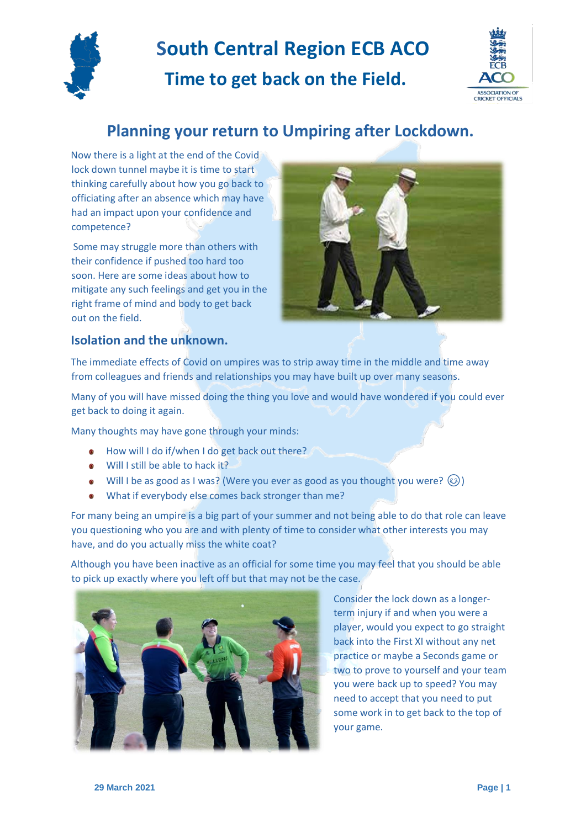

# **Time to get back on the Field.**



### **Planning your return to Umpiring after Lockdown.**

Now there is a light at the end of the Covid lock down tunnel maybe it is time to start thinking carefully about how you go back to officiating after an absence which may have had an impact upon your confidence and competence?

Some may struggle more than others with their confidence if pushed too hard too soon. Here are some ideas about how to mitigate any such feelings and get you in the right frame of mind and body to get back out on the field.



#### **Isolation and the unknown.**

The immediate effects of Covid on umpires was to strip away time in the middle and time away from colleagues and friends and relationships you may have built up over many seasons.

Many of you will have missed doing the thing you love and would have wondered if you could ever get back to doing it again.

Many thoughts may have gone through your minds:

- $\bullet$  How will I do if/when I do get back out there?
- Will I still be able to hack it?
- Will I be as good as I was? (Were you ever as good as you thought you were?  $\circled{c}$ )
- What if everybody else comes back stronger than me?

For many being an umpire is a big part of your summer and not being able to do that role can leave you questioning who you are and with plenty of time to consider what other interests you may have, and do you actually miss the white coat?

Although you have been inactive as an official for some time you may feel that you should be able to pick up exactly where you left off but that may not be the case.



Consider the lock down as a longerterm injury if and when you were a player, would you expect to go straight back into the First XI without any net practice or maybe a Seconds game or two to prove to yourself and your team you were back up to speed? You may need to accept that you need to put some work in to get back to the top of your game.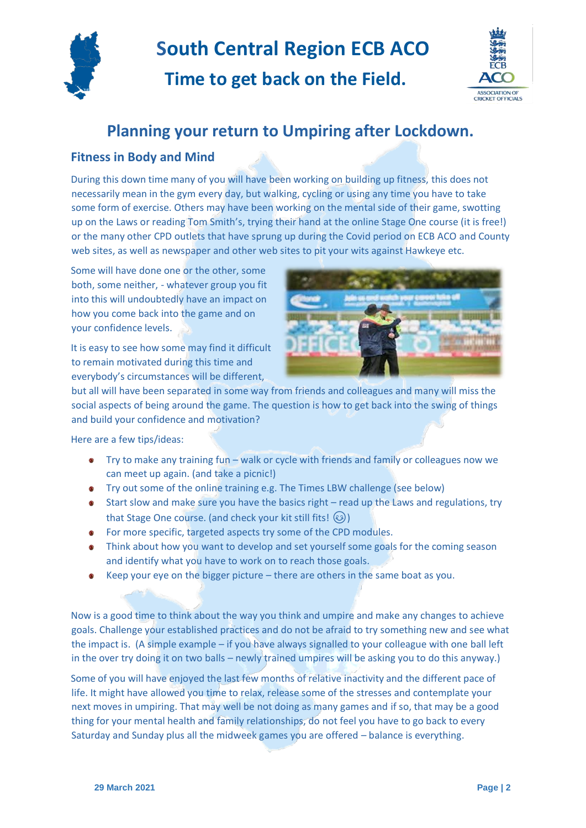

**Time to get back on the Field.**



### **Planning your return to Umpiring after Lockdown.**

#### **Fitness in Body and Mind**

During this down time many of you will have been working on building up fitness, this does not necessarily mean in the gym every day, but walking, cycling or using any time you have to take some form of exercise. Others may have been working on the mental side of their game, swotting up on the Laws or reading Tom Smith's, trying their hand at the online Stage One course (it is free!) or the many other CPD outlets that have sprung up during the Covid period on ECB ACO and County web sites, as well as newspaper and other web sites to pit your wits against Hawkeye etc.

Some will have done one or the other, some both, some neither, - whatever group you fit into this will undoubtedly have an impact on how you come back into the game and on your confidence levels.

It is easy to see how some may find it difficult to remain motivated during this time and everybody's circumstances will be different,



but all will have been separated in some way from friends and colleagues and many will miss the social aspects of being around the game. The question is how to get back into the swing of things and build your confidence and motivation?

Here are a few tips/ideas:

- Try to make any training fun walk or cycle with friends and family or colleagues now we can meet up again. (and take a picnic!)
- Try out some of the online training e.g. The Times LBW challenge (see below)
- Start slow and make sure you have the basics right read up the Laws and regulations, try that Stage One course. (and check your kit still fits!  $\circled{e}$ )
- For more specific, targeted aspects try some of the CPD modules.
- Think about how you want to develop and set yourself some goals for the coming season and identify what you have to work on to reach those goals.
- Keep your eye on the bigger picture there are others in the same boat as you.

Now is a good time to think about the way you think and umpire and make any changes to achieve goals. Challenge your established practices and do not be afraid to try something new and see what the impact is. (A simple example – if you have always signalled to your colleague with one ball left in the over try doing it on two balls – newly trained umpires will be asking you to do this anyway.)

Some of you will have enjoyed the last few months of relative inactivity and the different pace of life. It might have allowed you time to relax, release some of the stresses and contemplate your next moves in umpiring. That may well be not doing as many games and if so, that may be a good thing for your mental health and family relationships, do not feel you have to go back to every Saturday and Sunday plus all the midweek games you are offered – balance is everything.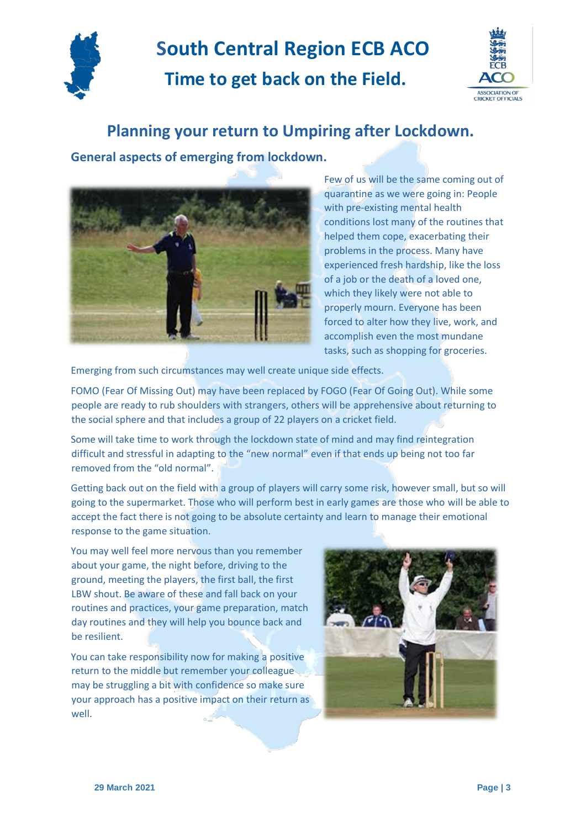

**Time to get back on the Field.**



### **Planning your return to Umpiring after Lockdown.**

**General aspects of emerging from lockdown.**



Few of us will be the same coming out of quarantine as we were going in: People with pre-existing mental health conditions lost many of the routines that helped them cope, exacerbating their problems in the process. Many have experienced fresh hardship, like the loss of a job or the death of a loved one, which they likely were not able to properly mourn. Everyone has been forced to alter how they live, work, and accomplish even the most mundane tasks, such as shopping for groceries.

Emerging from such circumstances may well create unique side effects.

FOMO (Fear Of Missing Out) may have been replaced by FOGO (Fear Of Going Out). While some people are ready to rub shoulders with strangers, others will be apprehensive about returning to the social sphere and that includes a group of 22 players on a cricket field.

Some will take time to work through the lockdown state of mind and may find reintegration difficult and stressful in adapting to the "new normal" even if that ends up being not too far removed from the "old normal".

Getting back out on the field with a group of players will carry some risk, however small, but so will going to the supermarket. Those who will perform best in early games are those who will be able to accept the fact there is not going to be absolute certainty and learn to manage their emotional response to the game situation.

You may well feel more nervous than you remember about your game, the night before, driving to the ground, meeting the players, the first ball, the first LBW shout. Be aware of these and fall back on your routines and practices, your game preparation, match day routines and they will help you bounce back and be resilient.

You can take responsibility now for making a positive return to the middle but remember your colleague may be struggling a bit with confidence so make sure your approach has a positive impact on their return as well.